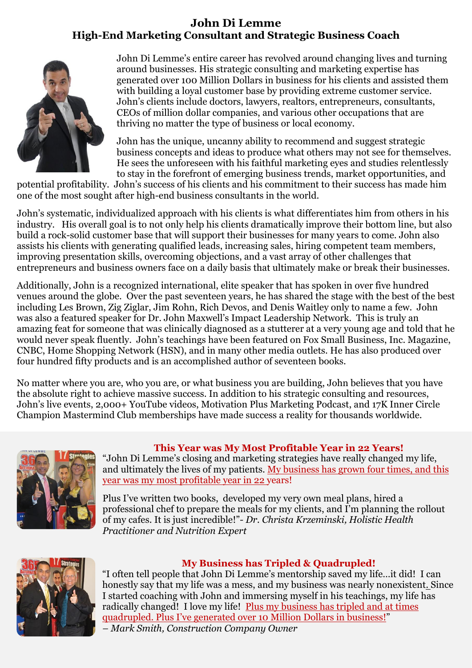## **John Di Lemme High-End Marketing Consultant and Strategic Business Coach**



John Di Lemme's entire career has revolved around changing lives and turning around businesses. His strategic consulting and marketing expertise has generated over 100 Million Dollars in business for his clients and assisted them with building a loyal customer base by providing extreme customer service. John's clients include doctors, lawyers, realtors, entrepreneurs, consultants, CEOs of million dollar companies, and various other occupations that are thriving no matter the type of business or local economy.

John has the unique, uncanny ability to recommend and suggest strategic business concepts and ideas to produce what others may not see for themselves. He sees the unforeseen with his faithful marketing eyes and studies relentlessly to stay in the forefront of emerging business trends, market opportunities, and

potential profitability. John's success of his clients and his commitment to their success has made him one of the most sought after high-end business consultants in the world.

John's systematic, individualized approach with his clients is what differentiates him from others in his industry. His overall goal is to not only help his clients dramatically improve their bottom line, but also build a rock-solid customer base that will support their businesses for many years to come. John also assists his clients with generating qualified leads, increasing sales, hiring competent team members, improving presentation skills, overcoming objections, and a vast array of other challenges that entrepreneurs and business owners face on a daily basis that ultimately make or break their businesses.

Additionally, John is a recognized international, elite speaker that has spoken in over five hundred venues around the globe. Over the past seventeen years, he has shared the stage with the best of the best including Les Brown, Zig Ziglar, Jim Rohn, Rich Devos, and Denis Waitley only to name a few. John was also a featured speaker for Dr. John Maxwell's Impact Leadership Network. This is truly an amazing feat for someone that was clinically diagnosed as a stutterer at a very young age and told that he would never speak fluently. John's teachings have been featured on Fox Small Business, Inc. Magazine, CNBC, Home Shopping Network (HSN), and in many other media outlets. He has also produced over four hundred fifty products and is an accomplished author of seventeen books.

No matter where you are, who you are, or what business you are building, John believes that you have the absolute right to achieve massive success. In addition to his strategic consulting and resources, John's live events, 2,000+ YouTube videos, Motivation Plus Marketing Podcast, and 17K Inner Circle Champion Mastermind Club memberships have made success a reality for thousands worldwide.



#### **This Year was My Most Profitable Year in 22 Years!**

"John Di Lemme's closing and marketing strategies have really changed my life, <u>year was my most profitable year in 22 y</u>ears! and ultimately the lives of my patients.  $\overline{M}$ y business has grown four times, and this

Plus I've written two books, developed my very own meal plans, hired a professional chef to prepare the meals for my clients, and I'm planning the rollout of my cafes. It is just incredible!"*- Dr. Christa Krzeminski, Holistic Health Practitioner and Nutrition Expert*



#### **My Business has Tripled & Quadrupled!**

"I often tell people that John Di Lemme's mentorship saved my life…it did! I can honestly say that my life was a mess, and my business was nearly nonexistent. Since I started coaching with John and immersing myself in his teachings, my life has radically changed! I love my life! Plus my business has tripled and at times quadrupled. Plus I've generated over 10 Million Dollars in business!" *– Mark Smith, Construction Company Owner*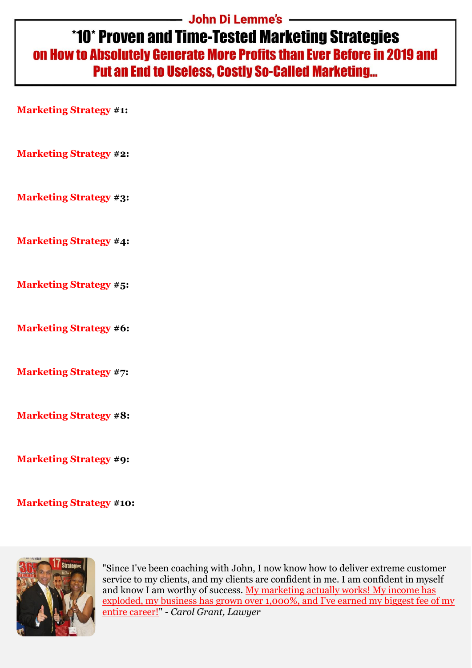## - John Di Lemme's -

# \*10\* Proven and Time-Tested Marketing Strategies on How to Absolutely Generate More Profits than Ever Before in 2019 and **Put an End to Useless, Costly So-Called Marketing...**

**Marketing Strategy #1:**

**Marketing Strategy #2:**

**Marketing Strategy #3:**

**Marketing Strategy #4:**

**Marketing Strategy #5:**

**Marketing Strategy #6:**

**Marketing Strategy #7:**

**Marketing Strategy #8:**

**Marketing Strategy #9:**

**Marketing Strategy #10:**



"Since I've been coaching with John, I now know how to deliver extreme customer service to my clients, and my clients are confident in me. I am confident in myself and know I am worthy of success. My marketing actually works! My income has exploded, my business has grown over 1,000%, and I've earned my biggest fee of my entire career!" *- Carol Grant, Lawyer*